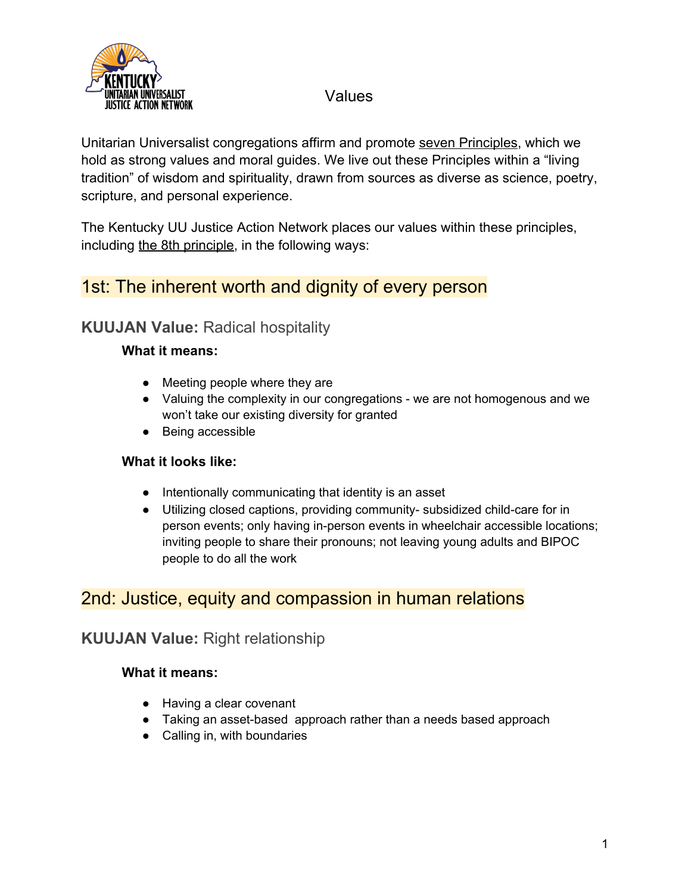

Unitarian Universalist congregations affirm and promote seven Principles, which we hold as strong values and moral guides. We live out these Principles within a "living tradition" of wisdom and spirituality, drawn from sources as diverse as science, poetry, scripture, and personal experience.

The Kentucky UU Justice Action Network places our values within these principles, including the 8th principle, in the following ways:

## 1st: The inherent worth and dignity of every person

## **KUUJAN Value:** Radical hospitality

### **What it means:**

- Meeting people where they are
- Valuing the complexity in our congregations we are not homogenous and we won't take our existing diversity for granted
- Being accessible

### **What it looks like:**

- Intentionally communicating that identity is an asset
- Utilizing closed captions, providing community- subsidized child-care for in person events; only having in-person events in wheelchair accessible locations; inviting people to share their pronouns; not leaving young adults and BIPOC people to do all the work

## 2nd: Justice, equity and compassion in human relations

## **KUUJAN Value:** Right relationship

- Having a clear covenant
- Taking an asset-based approach rather than a needs based approach
- Calling in, with boundaries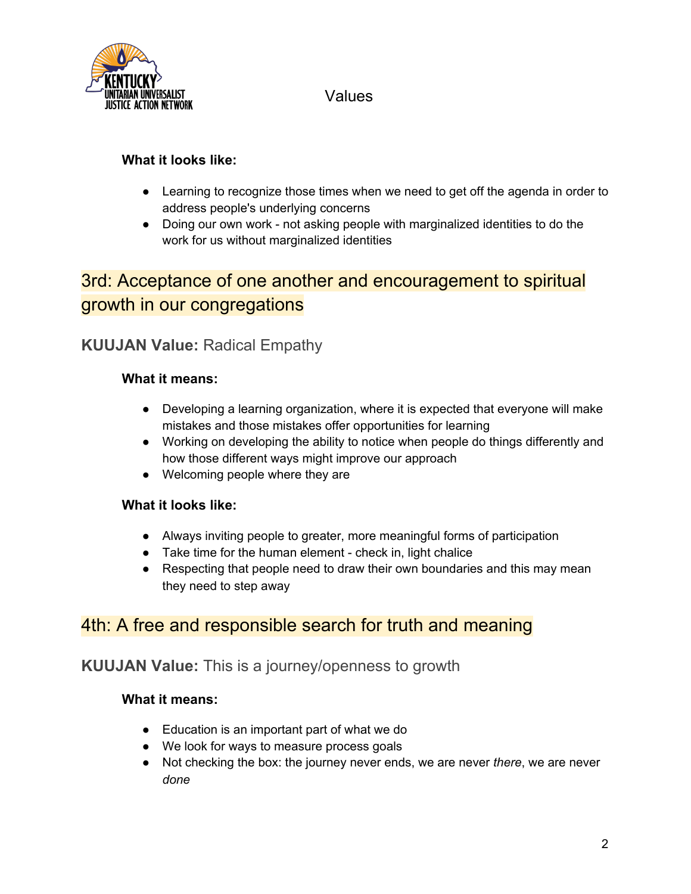

### **What it looks like:**

- Learning to recognize those times when we need to get off the agenda in order to address people's underlying concerns
- Doing our own work not asking people with marginalized identities to do the work for us without marginalized identities

# 3rd: Acceptance of one another and encouragement to spiritual growth in our congregations

## **KUUJAN Value:** Radical Empathy

### **What it means:**

- Developing a learning organization, where it is expected that everyone will make mistakes and those mistakes offer opportunities for learning
- Working on developing the ability to notice when people do things differently and how those different ways might improve our approach
- Welcoming people where they are

### **What it looks like:**

- Always inviting people to greater, more meaningful forms of participation
- Take time for the human element check in, light chalice
- Respecting that people need to draw their own boundaries and this may mean they need to step away

## 4th: A free and responsible search for truth and meaning

## **KUUJAN Value:** This is a journey/openness to growth

- Education is an important part of what we do
- We look for ways to measure process goals
- Not checking the box: the journey never ends, we are never *there*, we are never *done*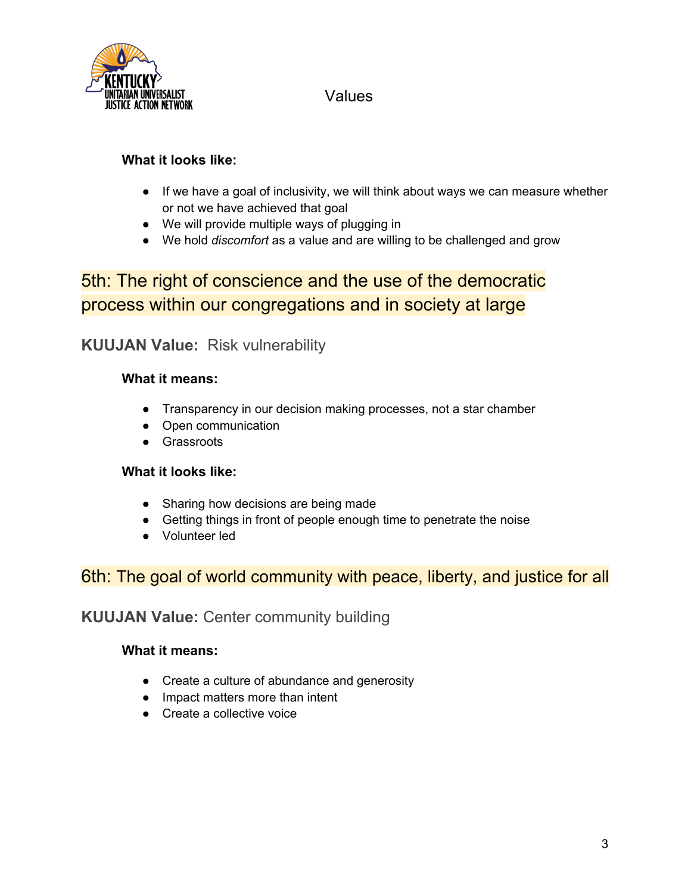

### **What it looks like:**

- If we have a goal of inclusivity, we will think about ways we can measure whether or not we have achieved that goal
- We will provide multiple ways of plugging in
- We hold *discomfort* as a value and are willing to be challenged and grow

# 5th: The right of conscience and the use of the democratic process within our congregations and in society at large

## **KUUJAN Value:** Risk vulnerability

### **What it means:**

- Transparency in our decision making processes, not a star chamber
- Open communication
- Grassroots

### **What it looks like:**

- Sharing how decisions are being made
- Getting things in front of people enough time to penetrate the noise
- Volunteer led

## 6th: The goal of world community with peace, liberty, and justice for all

## **KUUJAN Value:** Center community building

- Create a culture of abundance and generosity
- Impact matters more than intent
- Create a collective voice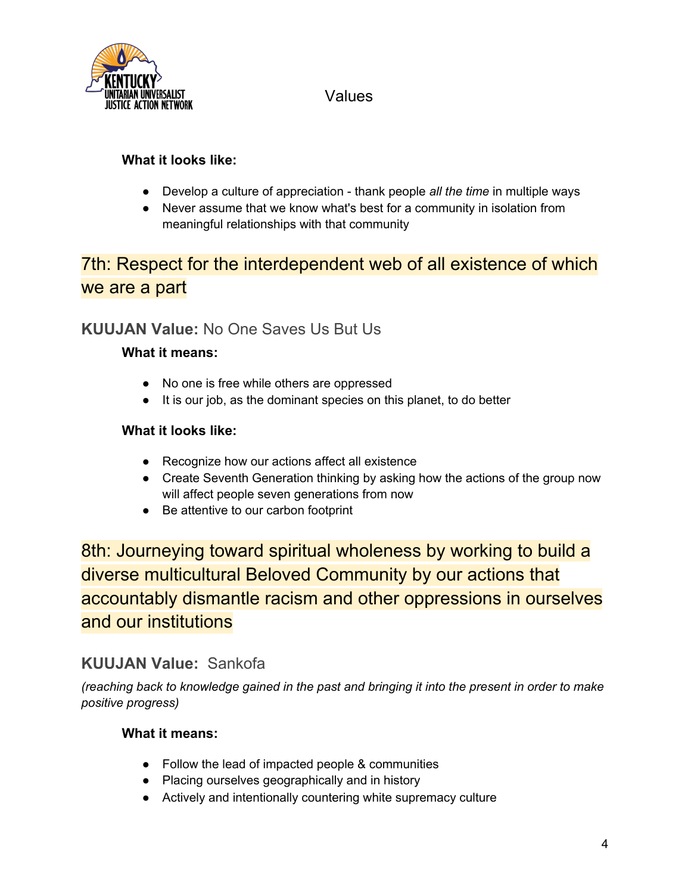

### **What it looks like:**

- Develop a culture of appreciation thank people *all the time* in multiple ways
- Never assume that we know what's best for a community in isolation from meaningful relationships with that community

# 7th: Respect for the interdependent web of all existence of which we are a part

## **KUUJAN Value:** No One Saves Us But Us

### **What it means:**

- No one is free while others are oppressed
- It is our job, as the dominant species on this planet, to do better

### **What it looks like:**

- Recognize how our actions affect all existence
- Create Seventh Generation thinking by asking how the actions of the group now will affect people seven generations from now
- Be attentive to our carbon footprint

8th: Journeying toward spiritual wholeness by working to build a diverse multicultural Beloved Community by our actions that accountably dismantle racism and other oppressions in ourselves and our institutions

## **KUUJAN Value:** Sankofa

*(reaching back to knowledge gained in the past and bringing it into the present in order to make positive progress)*

- Follow the lead of impacted people & communities
- Placing ourselves geographically and in history
- Actively and intentionally countering white supremacy culture